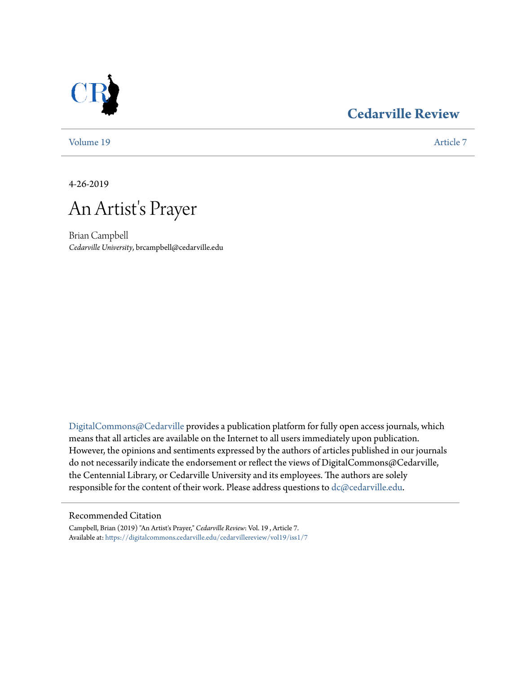### **[Cedarville Review](https://digitalcommons.cedarville.edu/cedarvillereview?utm_source=digitalcommons.cedarville.edu%2Fcedarvillereview%2Fvol19%2Fiss1%2F7&utm_medium=PDF&utm_campaign=PDFCoverPages)**



[Volume 19](https://digitalcommons.cedarville.edu/cedarvillereview/vol19?utm_source=digitalcommons.cedarville.edu%2Fcedarvillereview%2Fvol19%2Fiss1%2F7&utm_medium=PDF&utm_campaign=PDFCoverPages) [Article 7](https://digitalcommons.cedarville.edu/cedarvillereview/vol19/iss1/7?utm_source=digitalcommons.cedarville.edu%2Fcedarvillereview%2Fvol19%2Fiss1%2F7&utm_medium=PDF&utm_campaign=PDFCoverPages)

4-26-2019

# An Artist's Prayer

Brian Campbell *Cedarville University*, brcampbell@cedarville.edu

[DigitalCommons@Cedarville](http://digitalcommons.cedarville.edu/) provides a publication platform for fully open access journals, which means that all articles are available on the Internet to all users immediately upon publication. However, the opinions and sentiments expressed by the authors of articles published in our journals do not necessarily indicate the endorsement or reflect the views of DigitalCommons@Cedarville, the Centennial Library, or Cedarville University and its employees. The authors are solely responsible for the content of their work. Please address questions to [dc@cedarville.edu](mailto:dc@cedarville.edu).

#### Recommended Citation

Campbell, Brian (2019) "An Artist's Prayer," *Cedarville Review*: Vol. 19 , Article 7. Available at: [https://digitalcommons.cedarville.edu/cedarvillereview/vol19/iss1/7](https://digitalcommons.cedarville.edu/cedarvillereview/vol19/iss1/7?utm_source=digitalcommons.cedarville.edu%2Fcedarvillereview%2Fvol19%2Fiss1%2F7&utm_medium=PDF&utm_campaign=PDFCoverPages)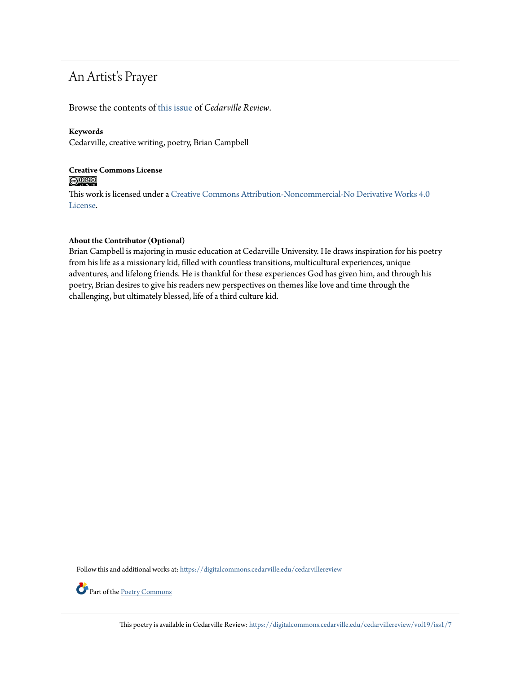## An Artist's Prayer

Browse the contents of [this issue](https://digitalcommons.cedarville.edu/cedarvillereview/vol19/iss1) of *Cedarville Review*.

#### **Keywords**

Cedarville, creative writing, poetry, Brian Campbell

#### **Creative Commons License**  $\bigcirc$   $\circ$

This work is licensed under a [Creative Commons Attribution-Noncommercial-No Derivative Works 4.0](http://creativecommons.org/licenses/by-nc-nd/4.0/) [License.](http://creativecommons.org/licenses/by-nc-nd/4.0/)

#### **About the Contributor (Optional)**

Brian Campbell is majoring in music education at Cedarville University. He draws inspiration for his poetry from his life as a missionary kid, filled with countless transitions, multicultural experiences, unique adventures, and lifelong friends. He is thankful for these experiences God has given him, and through his poetry, Brian desires to give his readers new perspectives on themes like love and time through the challenging, but ultimately blessed, life of a third culture kid.

Follow this and additional works at: [https://digitalcommons.cedarville.edu/cedarvillereview](https://digitalcommons.cedarville.edu/cedarvillereview?utm_source=digitalcommons.cedarville.edu%2Fcedarvillereview%2Fvol19%2Fiss1%2F7&utm_medium=PDF&utm_campaign=PDFCoverPages)



This poetry is available in Cedarville Review: [https://digitalcommons.cedarville.edu/cedarvillereview/vol19/iss1/7](https://digitalcommons.cedarville.edu/cedarvillereview/vol19/iss1/7?utm_source=digitalcommons.cedarville.edu%2Fcedarvillereview%2Fvol19%2Fiss1%2F7&utm_medium=PDF&utm_campaign=PDFCoverPages)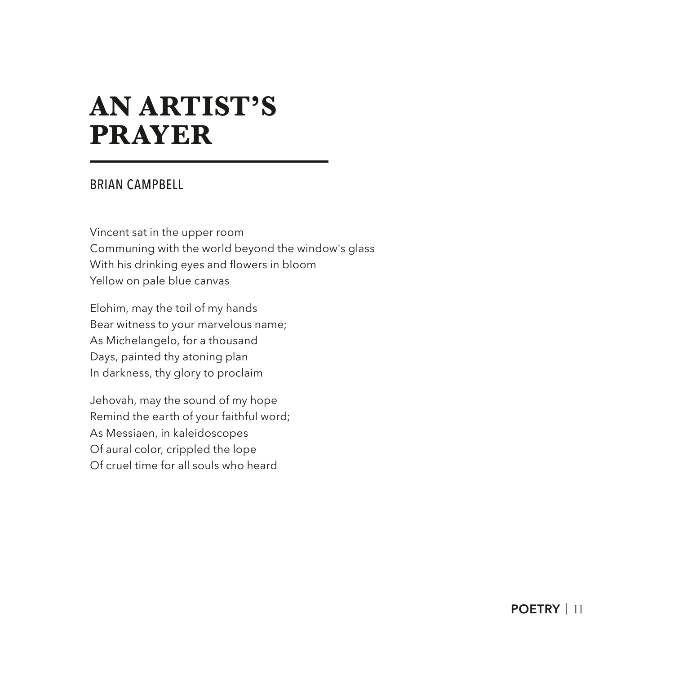## **AN ARTIST'S PRAYER**

#### BRIAN CAMPBELL

Vincent sat in the upper room Communing with the world beyond the window's glass With his drinking eyes and flowers in bloom Yellow on pale blue canvas

Elohim, may the toil of my hands Bear witness to your marvelous name; As Michelangelo, for a thousand Days, painted thy atoning plan In darkness, thy glory to proclaim

Jehovah, may the sound of my hope Remind the earth of your faithful word; As Messiaen, in kaleidoscopes Of aural color, crippled the lope Of cruel time for all souls who heard